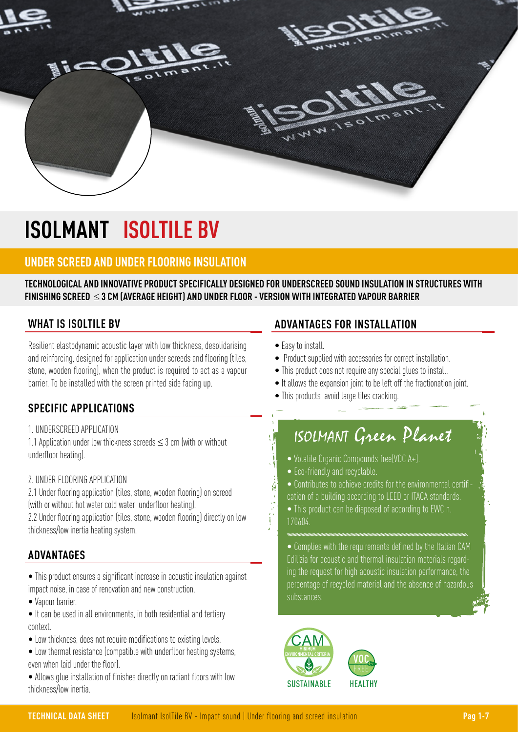

# **ISOLMANT ISOLTILE BV**

## **UNDER SCREED AND UNDER FLOORING INSULATION**

**TECHNOLOGICAL AND INNOVATIVE PRODUCT SPECIFICALLY DESIGNED FOR UNDERSCREED SOUND INSULATION IN STRUCTURES WITH FINISHING SCREED** ≤ **3 CM (AVERAGE HEIGHT) AND UNDER FLOOR - VERSION WITH INTEGRATED VAPOUR BARRIER**

### **WHAT IS ISOLTILE BV**

Resilient elastodynamic acoustic layer with low thickness, desolidarising and reinforcing, designed for application under screeds and flooring (tiles, stone, wooden flooring), when the product is required to act as a vapour barrier. To be installed with the screen printed side facing up.

### **SPECIFIC APPLICATIONS**

1. UNDERSCREED APPLICATION

1.1 Application under low thickness screeds  $\leq$  3 cm (with or without underfloor heating).

#### 2. UNDER FLOORING APPLICATION

2.1 Under flooring application (tiles, stone, wooden flooring) on screed (with or without hot water cold water underfloor heating).

2.2 Under flooring application (tiles, stone, wooden flooring) directly on low thickness/low inertia heating system.

### **ADVANTAGES**

• This product ensures a significant increase in acoustic insulation against impact noise, in case of renovation and new construction.

• Vapour barrier.

• It can be used in all environments, in both residential and tertiary context.

- Low thickness, does not require modifications to existing levels.
- Low thermal resistance (compatible with underfloor heating systems, even when laid under the floor).

• Allows glue installation of finishes directly on radiant floors with low thickness/low inertia.

## **ADVANTAGES FOR INSTALLATION**

• Easy to install.

(1) 遠く はんだい

- Product supplied with accessories for correct installation.
- This product does not require any special glues to install.
- It allows the expansion joint to be left off the fractionation joint.
- This products avoid large tiles cracking.

## ISOLMANT Green Planet

- Volatile Organic Compounds free(VOC A+).
- Eco-friendly and recyclable.
- Contributes to achieve credits for the environmental certification of a building according to LEED or ITACA standards.
- This product can be disposed of according to EWC n. 170604.

• Complies with the requirements defined by the Italian CAM Edilizia for acoustic and thermal insulation materials regarding the request for high acoustic insulation performance, the percentage of recycled material and the absence of hazardous substances.



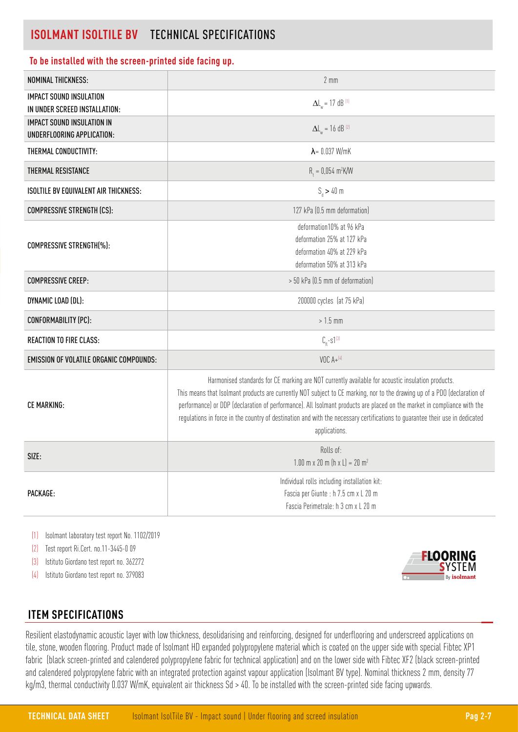## **ISOLMANT ISOLTILE BV** TECHNICAL SPECIFICATIONS

#### **To be installed with the screen-printed side facing up.**

| NOMINAL THICKNESS:                                                 | $2 \, \text{mm}$                                                                                                                                                                                                                                                                                                                                                                                                                                                                                           |
|--------------------------------------------------------------------|------------------------------------------------------------------------------------------------------------------------------------------------------------------------------------------------------------------------------------------------------------------------------------------------------------------------------------------------------------------------------------------------------------------------------------------------------------------------------------------------------------|
| <b>IMPACT SOUND INSULATION</b>                                     | $\Delta L_w = 17$ dB <sup>(1)</sup>                                                                                                                                                                                                                                                                                                                                                                                                                                                                        |
| IN UNDER SCREED INSTALLATION:<br><b>IMPACT SOUND INSULATION IN</b> |                                                                                                                                                                                                                                                                                                                                                                                                                                                                                                            |
| UNDERFLOORING APPLICATION:                                         | $\Delta L_{w} = 16$ dB <sup>(2)</sup>                                                                                                                                                                                                                                                                                                                                                                                                                                                                      |
| THERMAL CONDUCTIVITY:                                              | $\lambda = 0.037$ W/mK                                                                                                                                                                                                                                                                                                                                                                                                                                                                                     |
| THERMAL RESISTANCE                                                 | $R_1 = 0.054 \text{ m}^2 \text{K/W}$                                                                                                                                                                                                                                                                                                                                                                                                                                                                       |
| <b>ISOLTILE BV EQUIVALENT AIR THICKNESS:</b>                       | $S_d > 40$ m                                                                                                                                                                                                                                                                                                                                                                                                                                                                                               |
| <b>COMPRESSIVE STRENGTH (CS):</b>                                  | 127 kPa (0.5 mm deformation)                                                                                                                                                                                                                                                                                                                                                                                                                                                                               |
| COMPRESSIVE STRENGTH(%):                                           | deformation10% at 96 kPa<br>deformation 25% at 127 kPa<br>deformation 40% at 229 kPa<br>deformation 50% at 313 kPa                                                                                                                                                                                                                                                                                                                                                                                         |
| <b>COMPRESSIVE CREEP:</b>                                          | > 50 kPa (0.5 mm of deformation)                                                                                                                                                                                                                                                                                                                                                                                                                                                                           |
| DYNAMIC LOAD (DL):                                                 | 200000 cycles (at 75 kPa)                                                                                                                                                                                                                                                                                                                                                                                                                                                                                  |
| CONFORMABILITY (PC):                                               | $>1.5$ mm                                                                                                                                                                                                                                                                                                                                                                                                                                                                                                  |
| <b>REACTION TO FIRE CLASS:</b>                                     | $C_{f1} - S1^{[3]}$                                                                                                                                                                                                                                                                                                                                                                                                                                                                                        |
| <b>EMISSION OF VOLATILE ORGANIC COMPOUNDS:</b>                     | VOC $A + ^{(4)}$                                                                                                                                                                                                                                                                                                                                                                                                                                                                                           |
| <b>CE MARKING:</b>                                                 | Harmonised standards for CE marking are NOT currently available for acoustic insulation products.<br>This means that Isolmant products are currently NOT subject to CE marking, nor to the drawing up of a PDO (declaration of<br>performance) or DDP (declaration of performance). All Isolmant products are placed on the market in compliance with the<br>regulations in force in the country of destination and with the necessary certifications to guarantee their use in dedicated<br>applications. |
| SIZE:                                                              | Rolls of:<br>$1.00 \text{ m} \times 20 \text{ m}$ (h x L) = 20 m <sup>2</sup>                                                                                                                                                                                                                                                                                                                                                                                                                              |
| PACKAGE:                                                           | Individual rolls including installation kit:<br>Fascia per Giunte : h 7.5 cm x L 20 m<br>Fascia Perimetrale: h 3 cm x L 20 m                                                                                                                                                                                                                                                                                                                                                                               |

(1) Isolmant laboratory test report No. 1102/2019

(2) Test report Ri.Cert. no.11-3445-0 09

(3) Istituto Giordano test report no. 362272

(4) Istituto Giordano test report no. 379083



## **ITEM SPECIFICATIONS**

Resilient elastodynamic acoustic layer with low thickness, desolidarising and reinforcing, designed for underflooring and underscreed applications on tile, stone, wooden flooring. Product made of Isolmant HD expanded polypropylene material which is coated on the upper side with special Fibtec XP1 fabric (black screen-printed and calendered polypropylene fabric for technical application) and on the lower side with Fibtec XF2 (black screen-printed and calendered polypropylene fabric with an integrated protection against vapour application (Isolmant BV type). Nominal thickness 2 mm, density 77 kg/m3, thermal conductivity 0.037 W/mK, equivalent air thickness Sd > 40. To be installed with the screen-printed side facing upwards.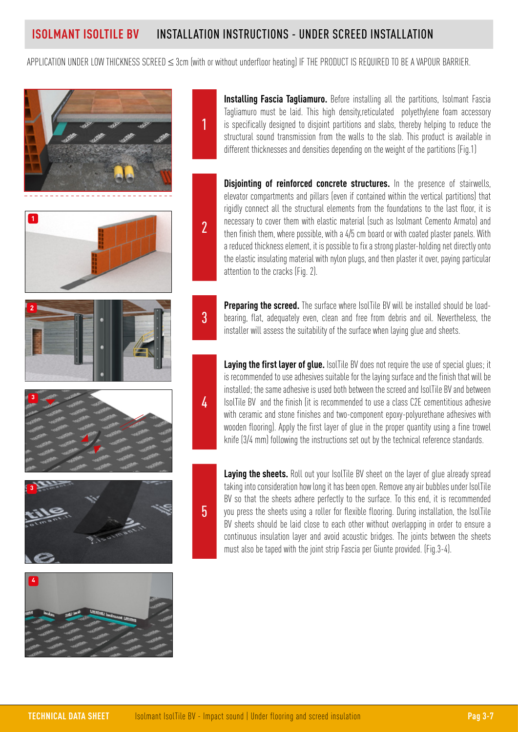## **ISOLMANT ISOLTILE BV** INSTALLATION INSTRUCTIONS - UNDER SCREED INSTALLATION

APPLICATION UNDER LOW THICKNESS SCREED ≤ 3cm (with or without underfloor heating) IF THE PRODUCT IS REQUIRED TO BE A VAPOUR BARRIER.













**Installing Fascia Tagliamuro.** Before installing all the partitions, Isolmant Fascia Tagliamuro must be laid. This high density,reticulated polyethylene foam accessory is specifically designed to disjoint partitions and slabs, thereby helping to reduce the structural sound transmission from the walls to the slab. This product is available in different thicknesses and densities depending on the weight of the partitions (Fig.1)

**Disjointing of reinforced concrete structures.** In the presence of stairwells, elevator compartments and pillars (even if contained within the vertical partitions) that rigidly connect all the structural elements from the foundations to the last floor, it is necessary to cover them with elastic material (such as Isolmant Cemento Armato) and then finish them, where possible, with a 4/5 cm board or with coated plaster panels. With a reduced thickness element, it is possible to fix a strong plaster-holding net directly onto the elastic insulating material with nylon plugs, and then plaster it over, paying particular attention to the cracks (Fig. 2).

3

4

2

1

**Preparing the screed.** The surface where IsolTile BV will be installed should be loadbearing, flat, adequately even, clean and free from debris and oil. Nevertheless, the installer will assess the suitability of the surface when laying glue and sheets.

Laying the first layer of glue. IsolTile BV does not require the use of special glues; it is recommended to use adhesives suitable for the laying surface and the finish that will be installed; the same adhesive is used both between the screed and IsolTile BV and between IsolTile BV and the finish (it is recommended to use a class C2E cementitious adhesive with ceramic and stone finishes and two-component epoxy-polyurethane adhesives with wooden flooring). Apply the first layer of glue in the proper quantity using a fine trowel knife (3/4 mm) following the instructions set out by the technical reference standards.

5

Laying the sheets. Roll out your IsolTile BV sheet on the layer of glue already spread taking into consideration how long it has been open. Remove any air bubbles under IsolTile BV so that the sheets adhere perfectly to the surface. To this end, it is recommended you press the sheets using a roller for flexible flooring. During installation, the IsolTile BV sheets should be laid close to each other without overlapping in order to ensure a continuous insulation layer and avoid acoustic bridges. The joints between the sheets must also be taped with the joint strip Fascia per Giunte provided. (Fig.3-4).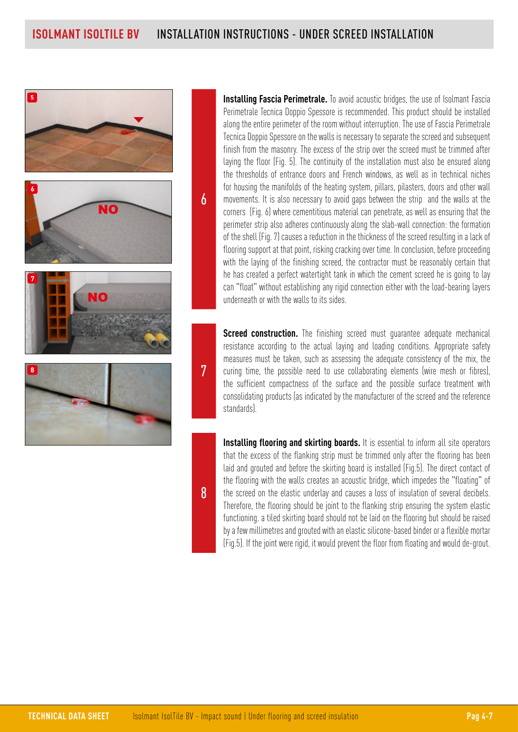6









**Installing Fascia Perimetrale.** To avoid acoustic bridges, the use of Isolmant Fascia Perimetrale Tecnica Doppio Spessore is recommended. This product should be installed along the entire perimeter of the room without interruption. The use of Fascia Perimetrale Tecnica Doppio Spessore on the walls is necessary to separate the screed and subsequent finish from the masonry. The excess of the strip over the screed must be trimmed after laying the floor (Fig. 5). The continuity of the installation must also be ensured along the thresholds of entrance doors and French windows, as well as in technical niches for housing the manifolds of the heating system, pillars, pilasters, doors and other wall movements. It is also necessary to avoid gaps between the strip and the walls at the corners (Fig. 6) where cementitious material can penetrate, as well as ensuring that the perimeter strip also adheres continuously along the slab-wall connection: the formation of the shell (Fig. 7) causes a reduction in the thickness of the screed resulting in a lack of flooring support at that point, risking cracking over time. In conclusion, before proceeding with the laying of the finishing screed, the contractor must be reasonably certain that he has created a perfect watertight tank in which the cement screed he is going to lay can "float" without establishing any rigid connection either with the load-bearing layers underneath or with the walls to its sides.

**Screed construction.** The finishing screed must quarantee adequate mechanical resistance according to the actual laying and loading conditions. Appropriate safety measures must be taken, such as assessing the adequate consistency of the mix, the curing time, the possible need to use collaborating elements (wire mesh or fibres), the sufficient compactness of the surface and the possible surface treatment with consolidating products (as indicated by the manufacturer of the screed and the reference standards).

**Installing flooring and skirting boards.** It is essential to inform all site operators that the excess of the flanking strip must be trimmed only after the flooring has been laid and grouted and before the skirting board is installed (Fig.5). The direct contact of the flooring with the walls creates an acoustic bridge, which impedes the "floating" of the screed on the elastic underlay and causes a loss of insulation of several decibels. Therefore, the flooring should be joint to the flanking strip ensuring the system elastic functioning. a tiled skirting board should not be laid on the flooring but should be raised by a few millimetres and grouted with an elastic silicone-based binder or a flexible mortar (Fig.5). If the joint were rigid, it would prevent the floor from floating and would de-grout.

8

7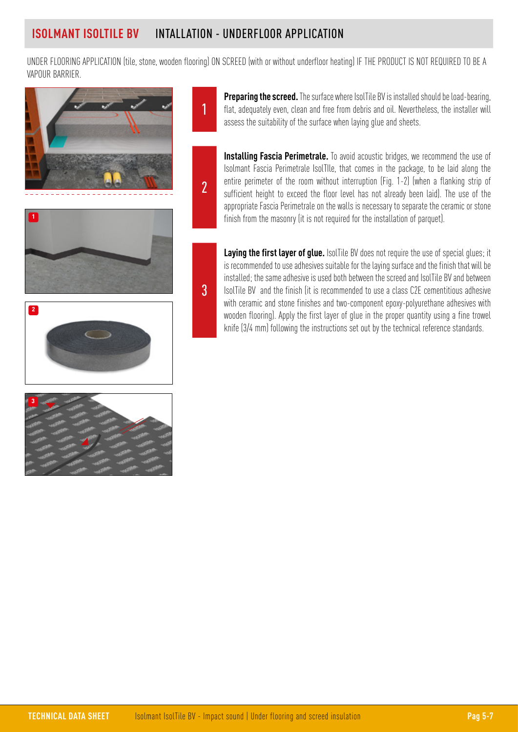1

2

3

UNDER FLOORING APPLICATION (tile, stone, wooden flooring) ON SCREED (with or without underfloor heating) IF THE PRODUCT IS NOT REQUIRED TO BE A VAPOUR BARRIER.



**Installing Fascia Perimetrale.** To avoid acoustic bridges, we recommend the use of Isolmant Fascia Perimetrale IsolTIle, that comes in the package, to be laid along the entire perimeter of the room without interruption (Fig. 1-2) (when a flanking strip of sufficient height to exceed the floor level has not already been laid). The use of the appropriate Fascia Perimetrale on the walls is necessary to separate the ceramic or stone finish from the masonry (it is not required for the installation of parquet).

assess the suitability of the surface when laying glue and sheets.

**Preparing the screed.** The surface where IsolTile BV is installed should be load-bearing, flat, adequately even, clean and free from debris and oil. Nevertheless, the installer will

Laying the first layer of glue. IsolTile BV does not require the use of special glues; it is recommended to use adhesives suitable for the laying surface and the finish that will be installed; the same adhesive is used both between the screed and IsolTile BV and between IsolTile BV and the finish (it is recommended to use a class C2E cementitious adhesive with ceramic and stone finishes and two-component epoxy-polyurethane adhesives with wooden flooring). Apply the first layer of glue in the proper quantity using a fine trowel knife (3/4 mm) following the instructions set out by the technical reference standards.



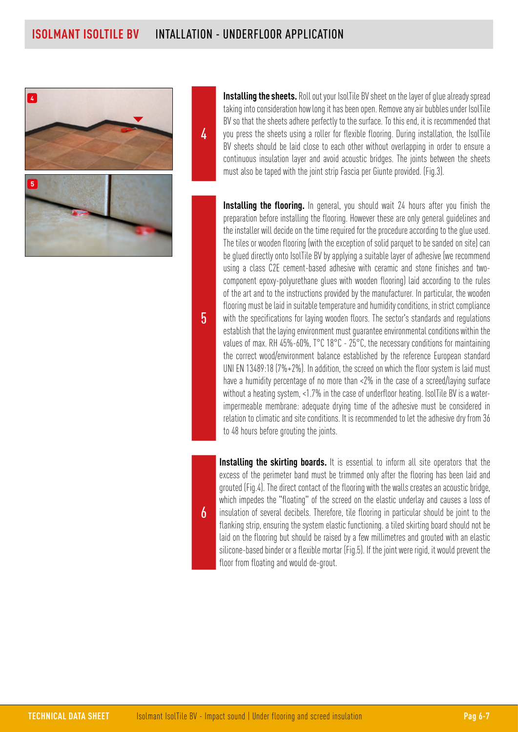4



**Installing the sheets.** Roll out your IsolTile BV sheet on the layer of glue already spread taking into consideration how long it has been open. Remove any air bubbles under IsolTile BV so that the sheets adhere perfectly to the surface. To this end, it is recommended that you press the sheets using a roller for flexible flooring. During installation, the IsolTile BV sheets should be laid close to each other without overlapping in order to ensure a continuous insulation layer and avoid acoustic bridges. The joints between the sheets must also be taped with the joint strip Fascia per Giunte provided. (Fig.3).

**Installing the flooring.** In general, you should wait 24 hours after you finish the preparation before installing the flooring. However these are only general guidelines and the installer will decide on the time required for the procedure according to the glue used. The tiles or wooden flooring (with the exception of solid parquet to be sanded on site) can be glued directly onto IsolTile BV by applying a suitable layer of adhesive (we recommend using a class C2E cement-based adhesive with ceramic and stone finishes and twocomponent epoxy-polyurethane glues with wooden flooring) laid according to the rules of the art and to the instructions provided by the manufacturer. In particular, the wooden flooring must be laid in suitable temperature and humidity conditions, in strict compliance with the specifications for laying wooden floors. The sector's standards and regulations establish that the laying environment must guarantee environmental conditions within the values of max. RH 45%-60%, T°C 18°C - 25°C, the necessary conditions for maintaining the correct wood/environment balance established by the reference European standard UNI EN 13489:18 (7%+2%). In addition, the screed on which the floor system is laid must have a humidity percentage of no more than <2% in the case of a screed/laying surface without a heating system, <1.7% in the case of underfloor heating. IsolTile BV is a waterimpermeable membrane: adequate drying time of the adhesive must be considered in relation to climatic and site conditions. It is recommended to let the adhesive dry from 36 to 48 hours before grouting the joints.

**Installing the skirting boards.** It is essential to inform all site operators that the excess of the perimeter band must be trimmed only after the flooring has been laid and grouted (Fig.4). The direct contact of the flooring with the walls creates an acoustic bridge, which impedes the "floating" of the screed on the elastic underlay and causes a loss of insulation of several decibels. Therefore, tile flooring in particular should be joint to the flanking strip, ensuring the system elastic functioning. a tiled skirting board should not be laid on the flooring but should be raised by a few millimetres and grouted with an elastic silicone-based binder or a flexible mortar (Fig.5). If the joint were rigid, it would prevent the floor from floating and would de-grout.

#### 5

## 6